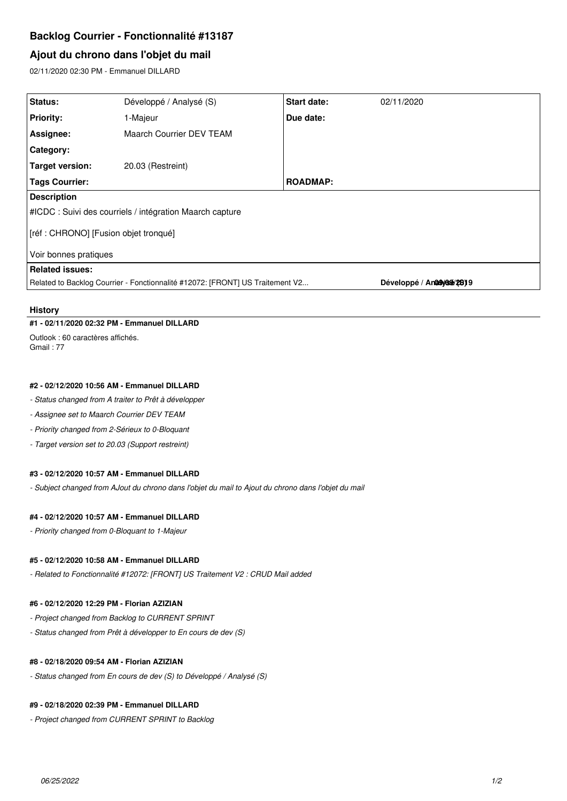# **Backlog Courrier - Fonctionnalité #13187**

# **Ajout du chrono dans l'objet du mail**

02/11/2020 02:30 PM - Emmanuel DILLARD

| Status:                                                                       | Développé / Analysé (S)  | Start date:     | 02/11/2020                 |
|-------------------------------------------------------------------------------|--------------------------|-----------------|----------------------------|
| <b>Priority:</b>                                                              | 1-Majeur                 | Due date:       |                            |
| Assignee:                                                                     | Maarch Courrier DEV TEAM |                 |                            |
| <b>Category:</b>                                                              |                          |                 |                            |
| Target version:                                                               | 20.03 (Restreint)        |                 |                            |
| <b>Tags Courrier:</b>                                                         |                          | <b>ROADMAP:</b> |                            |
| <b>Description</b>                                                            |                          |                 |                            |
| #ICDC : Suivi des courriels / intégration Maarch capture                      |                          |                 |                            |
| [réf : CHRONO] [Fusion objet tronqué]                                         |                          |                 |                            |
| Voir bonnes pratiques                                                         |                          |                 |                            |
| <b>Related issues:</b>                                                        |                          |                 |                            |
| Related to Backlog Courrier - Fonctionnalité #12072: [FRONT] US Traitement V2 |                          |                 | Développé / Analayosa/2819 |

#### **History**

## **#1 - 02/11/2020 02:32 PM - Emmanuel DILLARD**

Outlook : 60 caractères affichés. Gmail : 77

### **#2 - 02/12/2020 10:56 AM - Emmanuel DILLARD**

*- Status changed from A traiter to Prêt à développer*

- *Assignee set to Maarch Courrier DEV TEAM*
- *Priority changed from 2-Sérieux to 0-Bloquant*
- *Target version set to 20.03 (Support restreint)*

### **#3 - 02/12/2020 10:57 AM - Emmanuel DILLARD**

*- Subject changed from AJout du chrono dans l'objet du mail to Ajout du chrono dans l'objet du mail*

# **#4 - 02/12/2020 10:57 AM - Emmanuel DILLARD**

*- Priority changed from 0-Bloquant to 1-Majeur*

## **#5 - 02/12/2020 10:58 AM - Emmanuel DILLARD**

*- Related to Fonctionnalité #12072: [FRONT] US Traitement V2 : CRUD Mail added*

#### **#6 - 02/12/2020 12:29 PM - Florian AZIZIAN**

- *Project changed from Backlog to CURRENT SPRINT*
- *Status changed from Prêt à développer to En cours de dev (S)*

# **#8 - 02/18/2020 09:54 AM - Florian AZIZIAN**

*- Status changed from En cours de dev (S) to Développé / Analysé (S)*

# **#9 - 02/18/2020 02:39 PM - Emmanuel DILLARD**

*- Project changed from CURRENT SPRINT to Backlog*